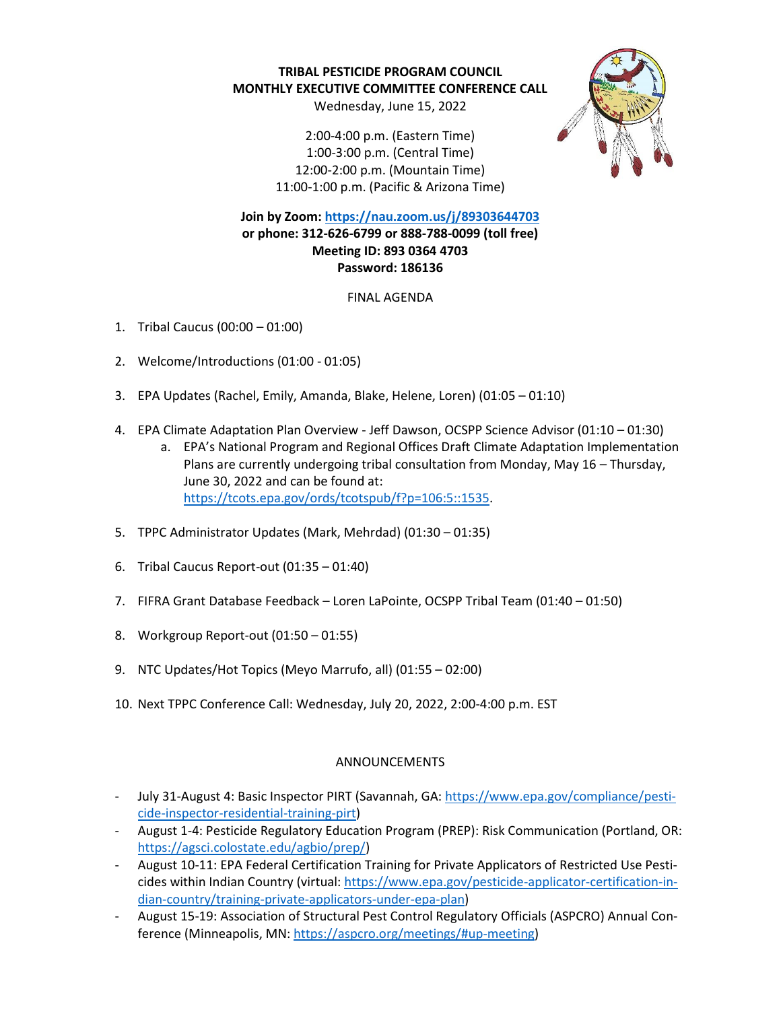**TRIBAL PESTICIDE PROGRAM COUNCIL MONTHLY EXECUTIVE COMMITTEE CONFERENCE CALL**

Wednesday, June 15, 2022

2:00-4:00 p.m. (Eastern Time) 1:00-3:00 p.m. (Central Time) 12:00-2:00 p.m. (Mountain Time) 11:00-1:00 p.m. (Pacific & Arizona Time)



**Join by Zoom[: https://nau.zoom.us/j/89303644703](https://nau.zoom.us/j/89303644703) or phone: 312-626-6799 or 888-788-0099 (toll free) Meeting ID: 893 0364 4703 Password: 186136**

FINAL AGENDA

- 1. Tribal Caucus (00:00 01:00)
- 2. Welcome/Introductions (01:00 01:05)
- 3. EPA Updates (Rachel, Emily, Amanda, Blake, Helene, Loren) (01:05 01:10)
- 4. EPA Climate Adaptation Plan Overview Jeff Dawson, OCSPP Science Advisor (01:10 01:30)
	- a. EPA's National Program and Regional Offices Draft Climate Adaptation Implementation Plans are currently undergoing tribal consultation from Monday, May 16 – Thursday, June 30, 2022 and can be found at: [https://tcots.epa.gov/ords/tcotspub/f?p=106:5::1535.](https://tcots.epa.gov/ords/tcotspub/f?p=106:5::1535)
- 5. TPPC Administrator Updates (Mark, Mehrdad) (01:30 01:35)
- 6. Tribal Caucus Report-out (01:35 01:40)
- 7. FIFRA Grant Database Feedback Loren LaPointe, OCSPP Tribal Team (01:40 01:50)
- 8. Workgroup Report-out (01:50 01:55)
- 9. NTC Updates/Hot Topics (Meyo Marrufo, all) (01:55 02:00)
- 10. Next TPPC Conference Call: Wednesday, July 20, 2022, 2:00-4:00 p.m. EST

## ANNOUNCEMENTS

- July 31-August 4: Basic Inspector PIRT (Savannah, GA: [https://www.epa.gov/compliance/pesti](https://www.epa.gov/compliance/pesticide-inspector-residential-training-pirt)[cide-inspector-residential-training-pirt\)](https://www.epa.gov/compliance/pesticide-inspector-residential-training-pirt)
- August 1-4: Pesticide Regulatory Education Program (PREP): Risk Communication (Portland, OR: [https://agsci.colostate.edu/agbio/prep/\)](https://agsci.colostate.edu/agbio/prep/)
- August 10-11: EPA Federal Certification Training for Private Applicators of Restricted Use Pesticides within Indian Country (virtual: [https://www.epa.gov/pesticide-applicator-certification-in](https://www.epa.gov/pesticide-applicator-certification-indian-country/training-private-applicators-under-epa-plan)[dian-country/training-private-applicators-under-epa-plan\)](https://www.epa.gov/pesticide-applicator-certification-indian-country/training-private-applicators-under-epa-plan)
- August 15-19: Association of Structural Pest Control Regulatory Officials (ASPCRO) Annual Conference (Minneapolis, MN: [https://aspcro.org/meetings/#up-meeting\)](https://aspcro.org/meetings/#up-meeting)